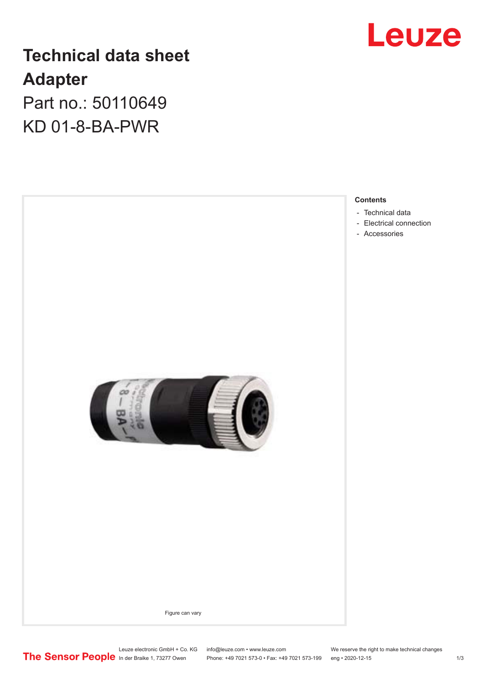

## **Technical data sheet Adapter**

Part no.: 50110649 KD 01-8-BA-PWR

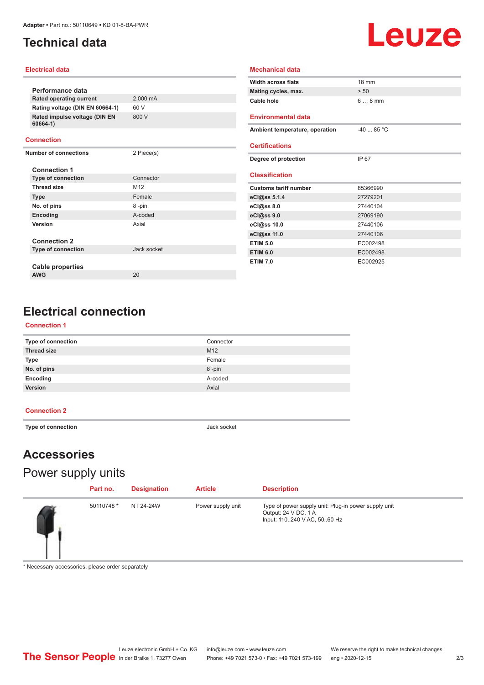## <span id="page-1-0"></span>**Technical data**

# Leuze

#### **Electrical data**

|                                           |             | <b>Width across flats</b>      | 18 mm       |  |
|-------------------------------------------|-------------|--------------------------------|-------------|--|
| Performance data                          |             | Mating cycles, max.            | > 50        |  |
| Rated operating current                   | 2,000 mA    | Cable hole                     | $68$ mm     |  |
| Rating voltage (DIN EN 60664-1)           | 60 V        |                                |             |  |
| Rated impulse voltage (DIN EN<br>60664-1) | 800 V       | <b>Environmental data</b>      |             |  |
|                                           |             | Ambient temperature, operation | $-40$ 85 °C |  |
| <b>Connection</b>                         |             |                                |             |  |
| <b>Number of connections</b>              | 2 Piece(s)  | <b>Certifications</b>          |             |  |
|                                           |             | Degree of protection           | IP 67       |  |
| <b>Connection 1</b>                       |             |                                |             |  |
| <b>Type of connection</b>                 | Connector   | <b>Classification</b>          |             |  |
| <b>Thread size</b>                        | M12         | <b>Customs tariff number</b>   | 85366990    |  |
| <b>Type</b>                               | Female      | eCl@ss 5.1.4                   | 27279201    |  |
| No. of pins                               | 8-pin       | eCl@ss 8.0                     | 27440104    |  |
| Encoding                                  | A-coded     | eCl@ss 9.0                     | 27069190    |  |
| Version                                   | Axial       | eCl@ss 10.0                    | 27440106    |  |
|                                           |             | eCl@ss 11.0                    | 27440106    |  |
| <b>Connection 2</b>                       |             | <b>ETIM 5.0</b>                | EC002498    |  |
| <b>Type of connection</b>                 | Jack socket | <b>ETIM 6.0</b>                | EC002498    |  |
|                                           |             | <b>ETIM 7.0</b>                | EC002925    |  |
| Cable properties                          |             |                                |             |  |
| <b>AWG</b>                                | 20          |                                |             |  |

**Mechanical data**

## **Electrical connection**

#### **Connection 1**

| Type of connection | Connector |
|--------------------|-----------|
| <b>Thread size</b> | M12       |
| <b>Type</b>        | Female    |
| No. of pins        | 8-pin     |
| Encoding           | A-coded   |
| Version            | Axial     |

#### **Connection 2**

 $\overline{a}$ 

**Type of connection Jack socket** 

## **Accessories**

## Power supply units

| Part no.   | <b>Designation</b> | <b>Article</b>    | <b>Description</b>                                                                                          |
|------------|--------------------|-------------------|-------------------------------------------------------------------------------------------------------------|
| 50110748 * | NT 24-24W          | Power supply unit | Type of power supply unit: Plug-in power supply unit<br>Output: 24 V DC, 1 A<br>Input: 110240 V AC, 5060 Hz |

\* Necessary accessories, please order separately